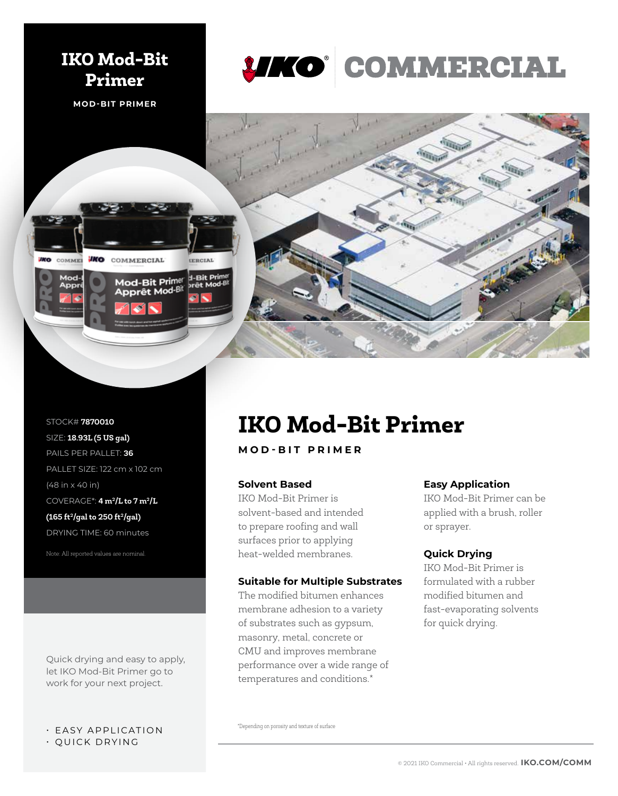

*IKO* COMMERCIAL

Mod-Bit Primer pprêt Mod-Bit EERCIAL

d-Bit Prin



STOCK# **7870010** SIZE: **18.93L (5 US gal)**  PAILS PER PALLET: **36** PALLET SIZE: 122 cm x 102 cm (48 in x 40 in) COVERAGE\*: **4 m2/L to 7 m2/L (165 ft2/gal to 250 ft2/gal)** DRYING TIME: 60 minutes

COMMER

**IKO** 

Note: All reported values are nominal.

Quick drying and easy to apply, let IKO Mod-Bit Primer go to work for your next project.

# • EASY APPLICATION

• QUICK DRYING

# **IKO Mod-Bit Primer**

**MOD-BIT PRIMER**

### **Solvent Based**

IKO Mod-Bit Primer is solvent-based and intended to prepare roofing and wall surfaces prior to applying heat-welded membranes.

#### **Suitable for Multiple Substrates**

The modified bitumen enhances membrane adhesion to a variety of substrates such as gypsum, masonry, metal, concrete or CMU and improves membrane performance over a wide range of temperatures and conditions.\*

# **Easy Application**

IKO Mod-Bit Primer can be applied with a brush, roller or sprayer.

## **Quick Drying**

IKO Mod-Bit Primer is formulated with a rubber modified bitumen and fast-evaporating solvents for quick drying.

\*Depending on porosity and texture of surface